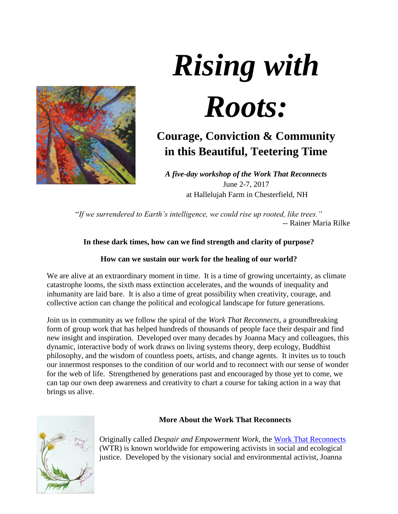

# *Rising with Roots:*

# **Courage, Conviction & Community in this Beautiful, Teetering Time**

*A five-day workshop of the Work That Reconnects* June 2-7, 2017 at Hallelujah Farm in Chesterfield, NH

"*If we surrendered to Earth's intelligence, we could rise up rooted, like trees."* -- Rainer Maria Rilke

# **In these dark times, how can we find strength and clarity of purpose?**

# **How can we sustain our work for the healing of our world?**

We are alive at an extraordinary moment in time. It is a time of growing uncertainty, as climate catastrophe looms, the sixth mass extinction accelerates, and the wounds of inequality and inhumanity are laid bare. It is also a time of great possibility when creativity, courage, and collective action can change the political and ecological landscape for future generations.

Join us in community as we follow the spiral of the *Work That Reconnects*, a groundbreaking form of group work that has helped hundreds of thousands of people face their despair and find new insight and inspiration. Developed over many decades by Joanna Macy and colleagues, this dynamic, interactive body of work draws on living systems theory, deep ecology, Buddhist philosophy, and the wisdom of countless poets, artists, and change agents. It invites us to touch our innermost responses to the condition of our world and to reconnect with our sense of wonder for the web of life. Strengthened by generations past and encouraged by those yet to come, we can tap our own deep awareness and creativity to chart a course for taking action in a way that brings us alive.



## **More About the Work That Reconnects**

Originally called *Despair and Empowerment Work*, the [Work That Reconnects](http://www.workthatreconnects.org/) (WTR) is known worldwide for empowering activists in social and ecological justice. Developed by the visionary social and environmental activist, Joanna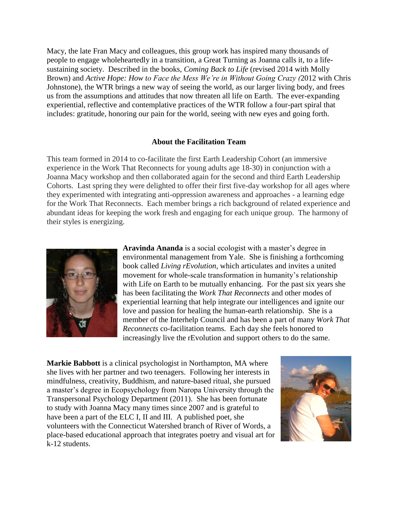Macy, the late Fran Macy and colleagues, this group work has inspired many thousands of people to engage wholeheartedly in a transition, a Great Turning as Joanna calls it, to a lifesustaining society. Described in the books, *Coming Back to Life* (revised 2014 with Molly Brown) and *Active Hope: How to Face the Mess We're in Without Going Crazy (*2012 with Chris Johnstone)*,* the WTR brings a new way of seeing the world, as our larger living body, and frees us from the assumptions and attitudes that now threaten all life on Earth. The ever-expanding experiential, reflective and contemplative practices of the WTR follow a four-part spiral that includes: gratitude, honoring our pain for the world, seeing with new eyes and going forth.

#### **About the Facilitation Team**

This team formed in 2014 to co-facilitate the first Earth Leadership Cohort (an immersive experience in the Work That Reconnects for young adults age 18-30) in conjunction with a Joanna Macy workshop and then collaborated again for the second and third Earth Leadership Cohorts. Last spring they were delighted to offer their first five-day workshop for all ages where they experimented with integrating anti-oppression awareness and approaches - a learning edge for the Work That Reconnects. Each member brings a rich background of related experience and abundant ideas for keeping the work fresh and engaging for each unique group. The harmony of their styles is energizing.



**Aravinda Ananda** is a social ecologist with a master's degree in environmental management from Yale. She is finishing a forthcoming book called *Living rEvolution*, which articulates and invites a united movement for whole-scale transformation in humanity's relationship with Life on Earth to be mutually enhancing. For the past six years she has been facilitating the *Work That Reconnects* and other modes of experiential learning that help integrate our intelligences and ignite our love and passion for healing the human-earth relationship. She is a member of the Interhelp Council and has been a part of many *Work That Reconnects* co-facilitation teams. Each day she feels honored to increasingly live the rEvolution and support others to do the same.

**Markie Babbott** is a clinical psychologist in Northampton, MA where she lives with her partner and two teenagers. Following her interests in mindfulness, creativity, Buddhism, and nature-based ritual, she pursued a master's degree in Ecopsychology from Naropa University through the Transpersonal Psychology Department (2011). She has been fortunate to study with Joanna Macy many times since 2007 and is grateful to have been a part of the ELC I, II and III. A published poet, she volunteers with the Connecticut Watershed branch of River of Words, a place-based educational approach that integrates poetry and visual art for k-12 students.

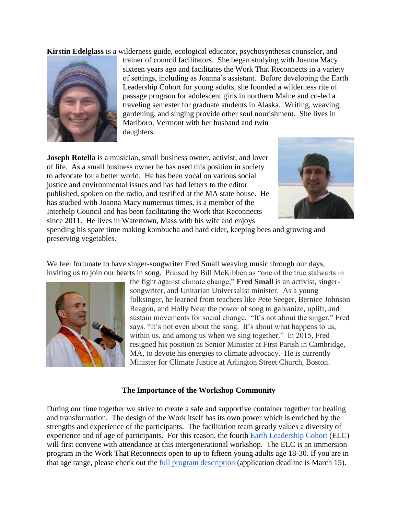**Kirstin Edelglass** is a wilderness guide, ecological educator, psychosynthesis counselor, and



trainer of council facilitators. She began studying with Joanna Macy sixteen years ago and facilitates the Work That Reconnects in a variety of settings, including as Joanna's assistant. Before developing the Earth Leadership Cohort for young adults, she founded a wilderness rite of passage program for adolescent girls in northern Maine and co-led a traveling semester for graduate students in Alaska. Writing, weaving, gardening, and singing provide other soul nourishment. She lives in Marlboro, Vermont with her husband and twin daughters.

**Joseph Rotella** is a musician, small business owner, activist, and lover of life. As a small business owner he has used this position in society to advocate for a better world. He has been vocal on various social justice and environmental issues and has had letters to the editor published, spoken on the radio, and testified at the MA state house. He has studied with Joanna Macy numerous times, is a member of the Interhelp Council and has been facilitating the Work that Reconnects since 2011. He lives in Watertown, Mass with his wife and enjoys



spending his spare time making kombucha and hard cider, keeping bees and growing and preserving vegetables.

We feel fortunate to have singer-songwriter Fred Small weaving music through our days, inviting us to join our hearts in song. Praised by Bill McKibben as "one of the true stalwarts in



the fight against climate change," **Fred Small** is an activist, singersongwriter, and Unitarian Universalist minister. As a young folksinger, he learned from teachers like Pete Seeger, Bernice Johnson Reagon, and Holly Near the power of song to galvanize, uplift, and sustain movements for social change. "It's not about the singer," Fred says. "It's not even about the song. It's about what happens to us, within us, and among us when we sing together." In 2015, Fred resigned his position as Senior Minister at First Parish in Cambridge, MA, to devote his energies to climate advocacy. He is currently Minister for Climate Justice at Arlington Street Church, Boston.

#### **The Importance of the Workshop Community**

During our time together we strive to create a safe and supportive container together for healing and transformation. The design of the Work itself has its own power which is enriched by the strengths and experience of the participants. The facilitation team greatly values a diversity of experience and of age of participants. For this reason, the fourth [Earth Leadership Cohort](http://interhelpnetwork.org/elc-description/) (ELC) will first convene with attendance at this intergenerational workshop. The ELC is an immersion program in the Work That Reconnects open to up to fifteen young adults age 18-30. If you are in that age range, please check out the [full program description](http://interhelpnetwork.org/elcivprogamdescription-docx/) (application deadline is March 15).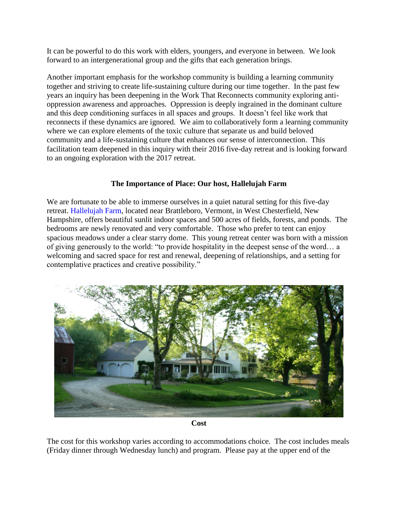It can be powerful to do this work with elders, youngers, and everyone in between. We look forward to an intergenerational group and the gifts that each generation brings.

Another important emphasis for the workshop community is building a learning community together and striving to create life-sustaining culture during our time together. In the past few years an inquiry has been deepening in the Work That Reconnects community exploring antioppression awareness and approaches. Oppression is deeply ingrained in the dominant culture and this deep conditioning surfaces in all spaces and groups. It doesn't feel like work that reconnects if these dynamics are ignored. We aim to collaboratively form a learning community where we can explore elements of the toxic culture that separate us and build beloved community and a life-sustaining culture that enhances our sense of interconnection. This facilitation team deepened in this inquiry with their 2016 five-day retreat and is looking forward to an ongoing exploration with the 2017 retreat.

#### **The Importance of Place: Our host, Hallelujah Farm**

We are fortunate to be able to immerse ourselves in a quiet natural setting for this five-day retreat. [Hallelujah Farm,](http://www.hallelujahfarm.com/) located near Brattleboro, Vermont, in West Chesterfield, New Hampshire, offers beautiful sunlit indoor spaces and 500 acres of fields, forests, and ponds. The bedrooms are newly renovated and very comfortable. Those who prefer to tent can enjoy spacious meadows under a clear starry dome. This young retreat center was born with a mission of giving generously to the world: "to provide hospitality in the deepest sense of the word… a welcoming and sacred space for rest and renewal, deepening of relationships, and a setting for contemplative practices and creative possibility."



**Cost**

The cost for this workshop varies according to accommodations choice. The cost includes meals (Friday dinner through Wednesday lunch) and program. Please pay at the upper end of the